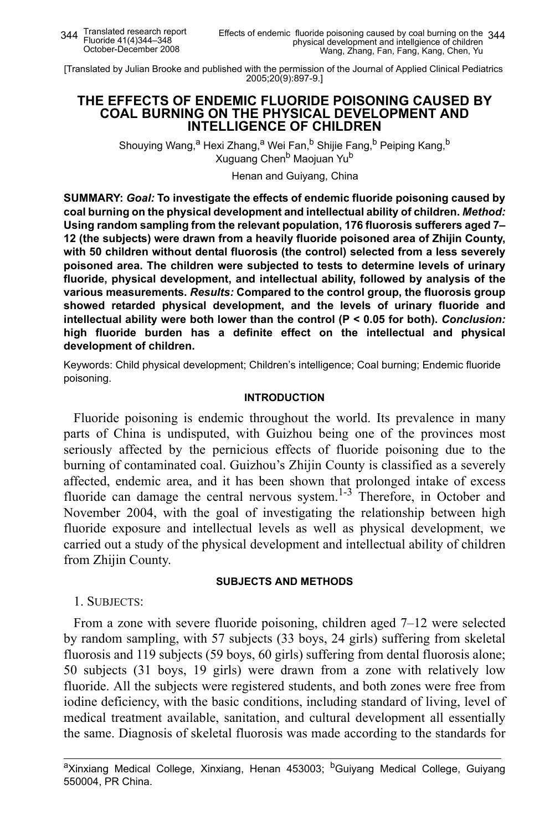[Translated by Julian Brooke and published with the permission of the Journal of Applied Clinical Pediatrics 2005;20(9):897-9.]

# **THE EFFECTS OF ENDEMIC FLUORIDE POISONING CAUSED BY COAL BURNING ON THE PHYSICAL DEVELOPMENT AND INTELLIGENCE OF CHILDREN**

Shouying Wang,<sup>a</sup> Hexi Zhang,<sup>a</sup> Wei Fan,<sup>b</sup> Shijie Fang,<sup>b</sup> Peiping Kang,<sup>b</sup> Xuguang Chen<sup>b</sup> Maojuan Yu<sup>b</sup>

Henan and Guiyang, China

**SUMMARY:** *Goal:* **To investigate the effects of endemic fluoride poisoning caused by coal burning on the physical development and intellectual ability of children.** *Method:* **Using random sampling from the relevant population, 176 fluorosis sufferers aged 7– 12 (the subjects) were drawn from a heavily fluoride poisoned area of Zhijin County, with 50 children without dental fluorosis (the control) selected from a less severely poisoned area. The children were subjected to tests to determine levels of urinary fluoride, physical development, and intellectual ability, followed by analysis of the various measurements.** *Results:* **Compared to the control group, the fluorosis group showed retarded physical development, and the levels of urinary fluoride and intellectual ability were both lower than the control (P < 0.05 for both).** *Conclusion:* **high fluoride burden has a definite effect on the intellectual and physical development of children.**

Keywords: Child physical development; Children's intelligence; Coal burning; Endemic fluoride poisoning.

## **INTRODUCTION**

Fluoride poisoning is endemic throughout the world. Its prevalence in many parts of China is undisputed, with Guizhou being one of the provinces most seriously affected by the pernicious effects of fluoride poisoning due to the burning of contaminated coal. Guizhou's Zhijin County is classified as a severely affected, endemic area, and it has been shown that prolonged intake of excess fluoride can damage the central nervous system.<sup>1-3</sup> Therefore, in October and November 2004, with the goal of investigating the relationship between high fluoride exposure and intellectual levels as well as physical development, we carried out a study of the physical development and intellectual ability of children from Zhijin County.

#### **SUBJECTS AND METHODS**

1. SUBJECTS:

From a zone with severe fluoride poisoning, children aged 7–12 were selected by random sampling, with 57 subjects (33 boys, 24 girls) suffering from skeletal fluorosis and 119 subjects (59 boys, 60 girls) suffering from dental fluorosis alone; 50 subjects (31 boys, 19 girls) were drawn from a zone with relatively low fluoride. All the subjects were registered students, and both zones were free from iodine deficiency, with the basic conditions, including standard of living, level of medical treatment available, sanitation, and cultural development all essentially the same. Diagnosis of skeletal fluorosis was made according to the standards for

aXinxiang Medical College, Xinxiang, Henan 453003; <sup>b</sup>Guiyang Medical College, Guiyang 550004, PR China.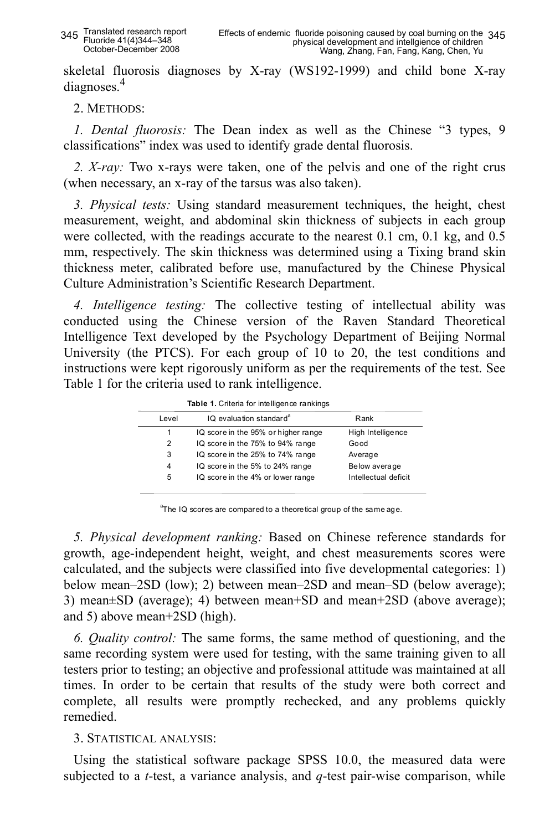skeletal fluorosis diagnoses by X-ray (WS192-1999) and child bone X-ray diagnoses.<sup>4</sup>

2. METHODS:

*1. Dental fluorosis:* The Dean index as well as the Chinese "3 types, 9 classifications" index was used to identify grade dental fluorosis.

*2. X-ray:* Two x-rays were taken, one of the pelvis and one of the right crus (when necessary, an x-ray of the tarsus was also taken).

*3. Physical tests:* Using standard measurement techniques, the height, chest measurement, weight, and abdominal skin thickness of subjects in each group were collected, with the readings accurate to the nearest 0.1 cm, 0.1 kg, and 0.5 mm, respectively. The skin thickness was determined using a Tixing brand skin thickness meter, calibrated before use, manufactured by the Chinese Physical Culture Administration's Scientific Research Department.

*4. Intelligence testing:* The collective testing of intellectual ability was conducted using the Chinese version of the Raven Standard Theoretical Intelligence Text developed by the Psychology Department of Beijing Normal University (the PTCS). For each group of 10 to 20, the test conditions and instructions were kept rigorously uniform as per the requirements of the test. See Table 1 for the criteria used to rank intelligence.

| Level          | IQ evaluation standard <sup>a</sup> | Rank                 |  |
|----------------|-------------------------------------|----------------------|--|
| 1              | IQ score in the 95% or higher range | High Intelligence    |  |
| $\overline{2}$ | IQ score in the 75% to 94% range    | Good                 |  |
| 3              | IQ score in the 25% to 74% range    | Average              |  |
| 4              | IQ score in the 5% to 24% range     | Below average        |  |
| 5              | IQ score in the 4% or lower range   | Intellectual deficit |  |

<sup>a</sup>The IQ scores are compared to a theoretical group of the same age.

*5. Physical development ranking:* Based on Chinese reference standards for growth, age-independent height, weight, and chest measurements scores were calculated, and the subjects were classified into five developmental categories: 1) below mean–2SD (low); 2) between mean–2SD and mean–SD (below average); 3) mean±SD (average); 4) between mean+SD and mean+2SD (above average); and 5) above mean+2SD (high).

*6. Quality control:* The same forms, the same method of questioning, and the same recording system were used for testing, with the same training given to all testers prior to testing; an objective and professional attitude was maintained at all times. In order to be certain that results of the study were both correct and complete, all results were promptly rechecked, and any problems quickly remedied.

3. STATISTICAL ANALYSIS:

Using the statistical software package SPSS 10.0, the measured data were subjected to a *t*-test, a variance analysis, and *q*-test pair-wise comparison, while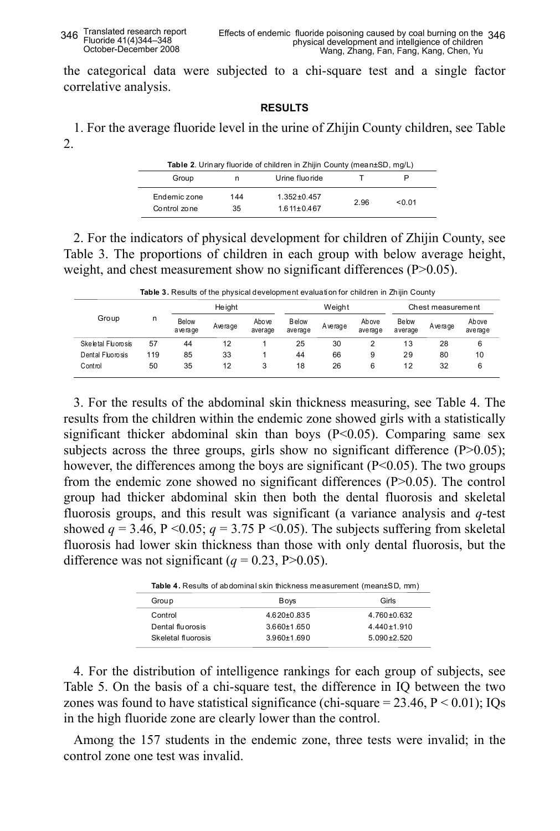the categorical data were subjected to a chi-square test and a single factor correlative analysis.

### **RESULTS**

1. For the average fluoride level in the urine of Zhijin County children, see Table 2.

|              | Table 2. Urinary fluoride of children in Zhijin County (mean±SD, mg/L) |                   |      |        |  |  |  |
|--------------|------------------------------------------------------------------------|-------------------|------|--------|--|--|--|
| Group        | n                                                                      | Urine fluoride    |      |        |  |  |  |
| Endemic zone | 144                                                                    | $1.352 + 0.457$   | 2.96 | < 0.01 |  |  |  |
| Control zone | 35                                                                     | $1.611 \pm 0.467$ |      |        |  |  |  |

2. For the indicators of physical development for children of Zhijin County, see Table 3. The proportions of children in each group with below average height, weight, and chest measurement show no significant differences (P>0.05).

|  |  | Table 3. Results of the physical development evaluation for children in Zhijin County |  |  |  |
|--|--|---------------------------------------------------------------------------------------|--|--|--|
|  |  |                                                                                       |  |  |  |

| Group              |     | He ight          |         |                   | Weight                   |         |                  | Chest measurement       |         |                  |
|--------------------|-----|------------------|---------|-------------------|--------------------------|---------|------------------|-------------------------|---------|------------------|
|                    | n   | Below<br>average | Average | Abo ve<br>average | <b>B</b> elow<br>average | Average | Above<br>average | <b>Below</b><br>average | Average | Above<br>average |
| Skeletal Fluorosis | 57  | 44               | 12      |                   | 25                       | 30      |                  | 13                      | 28      | 6                |
| Dental Fluorosis   | 119 | 85               | 33      |                   | 44                       | 66      | 9                | 29                      | 80      | 10               |
| Control            | 50  | 35               | 12      | 3                 | 18                       | 26      | 6                | 12                      | 32      | 6                |

3. For the results of the abdominal skin thickness measuring, see Table 4. The results from the children within the endemic zone showed girls with a statistically significant thicker abdominal skin than boys  $(P<0.05)$ . Comparing same sex subjects across the three groups, girls show no significant difference  $(P>0.05)$ ; however, the differences among the boys are significant (P<0.05). The two groups from the endemic zone showed no significant differences (P>0.05). The control group had thicker abdominal skin then both the dental fluorosis and skeletal fluorosis groups, and this result was significant (a variance analysis and *q*-test showed  $q = 3.46$ , P < 0.05;  $q = 3.75$  P < 0.05). The subjects suffering from skeletal fluorosis had lower skin thickness than those with only dental fluorosis, but the difference was not significant ( $q = 0.23$ , P $> 0.05$ ).

| Table 4. Results of abdominal skin thickness measurement (mean±SD, mm) |                   |                   |  |  |  |  |  |
|------------------------------------------------------------------------|-------------------|-------------------|--|--|--|--|--|
| Group                                                                  | Boys              | Girls             |  |  |  |  |  |
| Control                                                                | $4.620 \pm 0.835$ | $4.760 + 0.632$   |  |  |  |  |  |
| Dental fluorosis                                                       | $3.660 \pm 1.650$ | $4.440 \pm 1.910$ |  |  |  |  |  |
| Skeletal fluorosis                                                     | $3.960 + 1.690$   | $5.090 + 2.520$   |  |  |  |  |  |
|                                                                        |                   |                   |  |  |  |  |  |

4. For the distribution of intelligence rankings for each group of subjects, see Table 5. On the basis of a chi-square test, the difference in IQ between the two zones was found to have statistical significance (chi-square  $= 23.46$ ,  $P < 0.01$ ); IQs in the high fluoride zone are clearly lower than the control.

Among the 157 students in the endemic zone, three tests were invalid; in the control zone one test was invalid.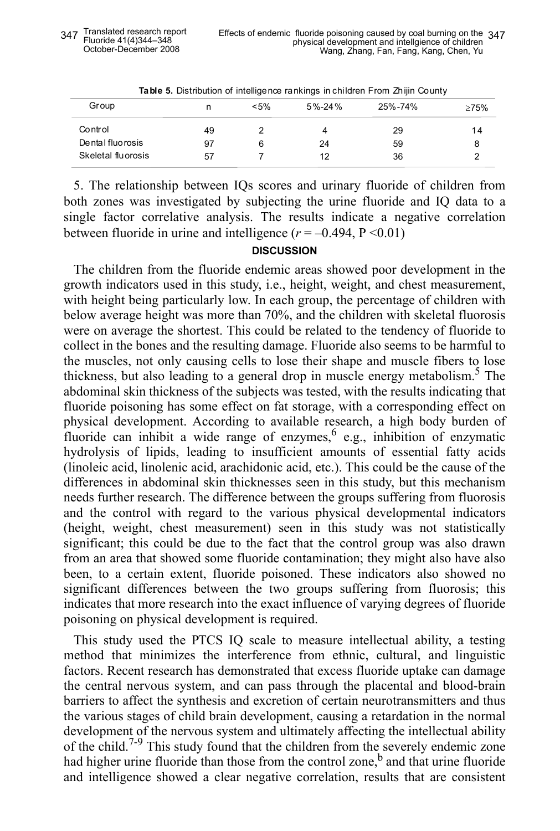| Group              | n  | $< 5\%$ | $5\% - 24\%$ | 25%-74% | $\geq 75\%$ |
|--------------------|----|---------|--------------|---------|-------------|
| Control            | 49 |         |              | 29      | 14          |
| Dental fluorosis   | 97 |         | 24           | 59      |             |
| Skeletal fluorosis | 57 |         | 12           | 36      |             |

**Table 5.** Distribution of intelligence rankings in children From Zhijin County

5. The relationship between IQs scores and urinary fluoride of children from both zones was investigated by subjecting the urine fluoride and IQ data to a single factor correlative analysis. The results indicate a negative correlation between fluoride in urine and intelligence  $(r = -0.494, P \le 0.01)$ 

#### **DISCUSSION**

The children from the fluoride endemic areas showed poor development in the growth indicators used in this study, i.e., height, weight, and chest measurement, with height being particularly low. In each group, the percentage of children with below average height was more than 70%, and the children with skeletal fluorosis were on average the shortest. This could be related to the tendency of fluoride to collect in the bones and the resulting damage. Fluoride also seems to be harmful to the muscles, not only causing cells to lose their shape and muscle fibers to lose thickness, but also leading to a general drop in muscle energy metabolism.<sup>5</sup> The abdominal skin thickness of the subjects was tested, with the results indicating that fluoride poisoning has some effect on fat storage, with a corresponding effect on physical development. According to available research, a high body burden of fluoride can inhibit a wide range of enzymes,  $e$  e.g., inhibition of enzymatic hydrolysis of lipids, leading to insufficient amounts of essential fatty acids (linoleic acid, linolenic acid, arachidonic acid, etc.). This could be the cause of the differences in abdominal skin thicknesses seen in this study, but this mechanism needs further research. The difference between the groups suffering from fluorosis and the control with regard to the various physical developmental indicators (height, weight, chest measurement) seen in this study was not statistically significant; this could be due to the fact that the control group was also drawn from an area that showed some fluoride contamination; they might also have also been, to a certain extent, fluoride poisoned. These indicators also showed no significant differences between the two groups suffering from fluorosis; this indicates that more research into the exact influence of varying degrees of fluoride poisoning on physical development is required.

This study used the PTCS IQ scale to measure intellectual ability, a testing method that minimizes the interference from ethnic, cultural, and linguistic factors. Recent research has demonstrated that excess fluoride uptake can damage the central nervous system, and can pass through the placental and blood-brain barriers to affect the synthesis and excretion of certain neurotransmitters and thus the various stages of child brain development, causing a retardation in the normal development of the nervous system and ultimately affecting the intellectual ability of the child.7-9 This study found that the children from the severely endemic zone had higher urine fluoride than those from the control zone,<sup>b</sup> and that urine fluoride and intelligence showed a clear negative correlation, results that are consistent